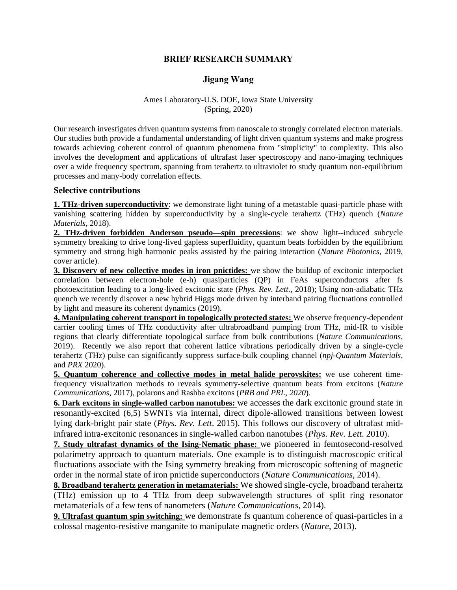# **BRIEF RESEARCH SUMMARY**

# **Jigang Wang**

#### Ames Laboratory-U.S. DOE, Iowa State University (Spring, 2020)

Our research investigates driven quantum systems from nanoscale to strongly correlated electron materials. Our studies both provide a fundamental understanding of light driven quantum systems and make progress towards achieving coherent control of quantum phenomena from "simplicity" to complexity. This also involves the development and applications of ultrafast laser spectroscopy and nano-imaging techniques over a wide frequency spectrum, spanning from terahertz to ultraviolet to study quantum non-equilibrium processes and many-body correlation effects.

### **Selective contributions**

**1. THz-driven superconductivity**: we demonstrate light tuning of a metastable quasi-particle phase with vanishing scattering hidden by superconductivity by a single-cycle terahertz (THz) quench (*Nature Materials*, 2018).

**2. THz-driven forbidden Anderson pseudo—spin precessions**: we show light--induced subcycle symmetry breaking to drive long-lived gapless superfluidity, quantum beats forbidden by the equilibrium symmetry and strong high harmonic peaks assisted by the pairing interaction (*Nature Photonics*, 2019, cover article).

**3. Discovery of new collective modes in iron pnictides:** we show the buildup of excitonic interpocket correlation between electron-hole (e-h) quasiparticles (QP) in FeAs superconductors after fs photoexcitation leading to a long-lived excitonic state (*Phys. Rev. Lett.,* 2018); Using non-adiabatic THz quench we recently discover a new hybrid Higgs mode driven by interband pairing fluctuations controlled by light and measure its coherent dynamics (2019).

**4. Manipulating coherent transport in topologically protected states:** We observe frequency-dependent carrier cooling times of THz conductivity after ultrabroadband pumping from THz, mid-IR to visible regions that clearly differentiate topological surface from bulk contributions (*Nature Communications*, 2019). Recently we also report that coherent lattice vibrations periodically driven by a single-cycle terahertz (THz) pulse can significantly suppress surface-bulk coupling channel (*npj-Quantum Materials*, and *PRX* 2020).

**5. Quantum coherence and collective modes in metal halide perovskites:** we use coherent timefrequency visualization methods to reveals symmetry-selective quantum beats from excitons (*Nature Communications*, 2017), polarons and Rashba excitons (*PRB and PRL, 2020*).

**6. Dark excitons in single-walled carbon nanotubes:** we accesses the dark excitonic ground state in resonantly-excited (6,5) SWNTs via internal, direct dipole-allowed transitions between lowest lying dark-bright pair state (*Phys. Rev. Lett*. 2015). This follows our discovery of ultrafast midinfrared intra-excitonic resonances in single-walled carbon nanotubes (*Phys. Rev. Lett*. 2010).

**7. Study ultrafast dynamics of the Ising-Nematic phase:** we pioneered in femtosecond-resolved polarimetry approach to quantum materials. One example is to distinguish macroscopic critical fluctuations associate with the Ising symmetry breaking from microscopic softening of magnetic order in the normal state of iron pnictide superconductors (*Nature Communications,* 2014).

**8. Broadband terahertz generation in metamaterials:** We showed single-cycle, broadband terahertz (THz) emission up to 4 THz from deep subwavelength structures of split ring resonator metamaterials of a few tens of nanometers (*Nature Communications,* 2014).

**9. Ultrafast quantum spin switching:** we demonstrate fs quantum coherence of quasi-particles in a colossal magento-resistive manganite to manipulate magnetic orders (*Nature*, 2013).